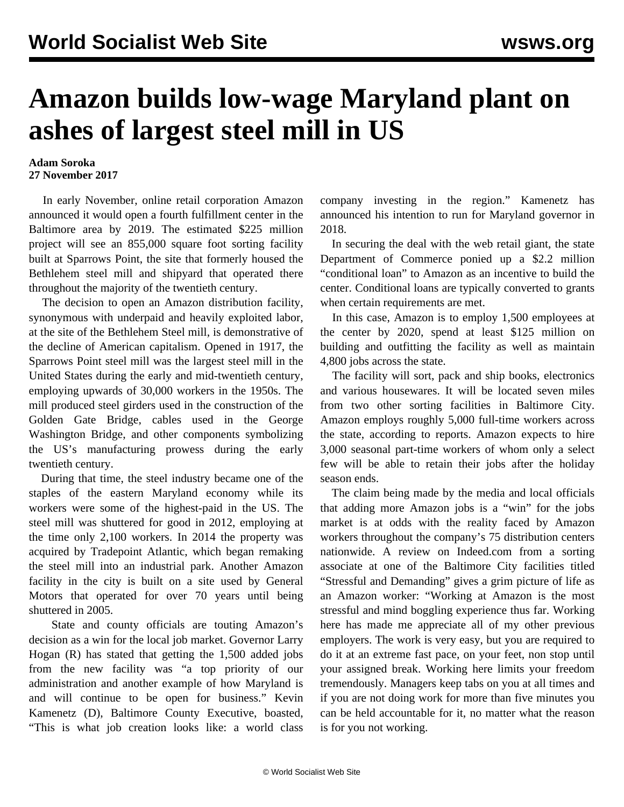## **Amazon builds low-wage Maryland plant on ashes of largest steel mill in US**

## **Adam Soroka 27 November 2017**

 In early November, online retail corporation Amazon announced it would open a fourth fulfillment center in the Baltimore area by 2019. The estimated \$225 million project will see an 855,000 square foot sorting facility built at Sparrows Point, the site that formerly housed the Bethlehem steel mill and shipyard that operated there throughout the majority of the twentieth century.

 The decision to open an Amazon distribution facility, synonymous with underpaid and heavily exploited labor, at the site of the Bethlehem Steel mill, is demonstrative of the decline of American capitalism. Opened in 1917, the Sparrows Point steel mill was the largest steel mill in the United States during the early and mid-twentieth century, employing upwards of 30,000 workers in the 1950s. The mill produced steel girders used in the construction of the Golden Gate Bridge, cables used in the George Washington Bridge, and other components symbolizing the US's manufacturing prowess during the early twentieth century.

 During that time, the steel industry became one of the staples of the eastern Maryland economy while its workers were some of the highest-paid in the US. The steel mill was shuttered for good in 2012, employing at the time only 2,100 workers. In 2014 the property was acquired by Tradepoint Atlantic, which began remaking the steel mill into an industrial park. Another Amazon facility in the city is built on a site used by General Motors that operated for over 70 years until being shuttered in 2005.

 State and county officials are touting Amazon's decision as a win for the local job market. Governor Larry Hogan (R) has stated that getting the 1,500 added jobs from the new facility was "a top priority of our administration and another example of how Maryland is and will continue to be open for business." Kevin Kamenetz (D), Baltimore County Executive, boasted, "This is what job creation looks like: a world class

company investing in the region." Kamenetz has announced his intention to run for Maryland governor in 2018.

 In securing the deal with the web retail giant, the state Department of Commerce ponied up a \$2.2 million "conditional loan" to Amazon as an incentive to build the center. Conditional loans are typically converted to grants when certain requirements are met.

 In this case, Amazon is to employ 1,500 employees at the center by 2020, spend at least \$125 million on building and outfitting the facility as well as maintain 4,800 jobs across the state.

 The facility will sort, pack and ship books, electronics and various housewares. It will be located seven miles from two other sorting facilities in Baltimore City. Amazon employs roughly 5,000 full-time workers across the state, according to reports. Amazon expects to hire 3,000 seasonal part-time workers of whom only a select few will be able to retain their jobs after the holiday season ends.

 The claim being made by the media and local officials that adding more Amazon jobs is a "win" for the jobs market is at odds with the reality faced by Amazon workers throughout the company's 75 distribution centers nationwide. A review on Indeed.com from a sorting associate at one of the Baltimore City facilities titled "Stressful and Demanding" gives a grim picture of life as an Amazon worker: "Working at Amazon is the most stressful and mind boggling experience thus far. Working here has made me appreciate all of my other previous employers. The work is very easy, but you are required to do it at an extreme fast pace, on your feet, non stop until your assigned break. Working here limits your freedom tremendously. Managers keep tabs on you at all times and if you are not doing work for more than five minutes you can be held accountable for it, no matter what the reason is for you not working.